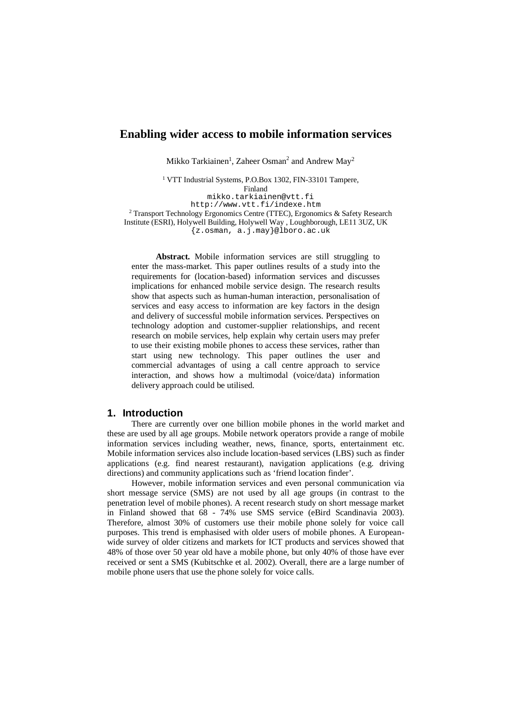# **Enabling wider access to mobile information services**

Mikko Tarkiainen<sup>1</sup>, Zaheer Osman<sup>2</sup> and Andrew May<sup>2</sup>

<sup>1</sup> VTT Industrial Systems, P.O.Box 1302, FIN-33101 Tampere,

Finland

mikko.tarkiainen@vtt.fi http://www.vtt.fi/indexe.htm

<sup>2</sup> Transport Technology Ergonomics Centre (TTEC), Ergonomics & Safety Research Institute (ESRI), Holywell Building, Holywell Way , Loughborough, LE11 3UZ, UK {z.osman, a.j.may}@lboro.ac.uk

**Abstract.** Mobile information services are still struggling to enter the mass-market. This paper outlines results of a study into the requirements for (location-based) information services and discusses implications for enhanced mobile service design. The research results show that aspects such as human-human interaction, personalisation of services and easy access to information are key factors in the design and delivery of successful mobile information services. Perspectives on technology adoption and customer-supplier relationships, and recent research on mobile services, help explain why certain users may prefer to use their existing mobile phones to access these services, rather than start using new technology. This paper outlines the user and commercial advantages of using a call centre approach to service interaction, and shows how a multimodal (voice/data) information delivery approach could be utilised.

## **1. Introduction**

There are currently over one billion mobile phones in the world market and these are used by all age groups. Mobile network operators provide a range of mobile information services including weather, news, finance, sports, entertainment etc. Mobile information services also include location-based services (LBS) such as finder applications (e.g. find nearest restaurant), navigation applications (e.g. driving directions) and community applications such as 'friend location finder'.

However, mobile information services and even personal communication via short message service (SMS) are not used by all age groups (in contrast to the penetration level of mobile phones). A recent research study on short message market in Finland showed that 68 - 74% use SMS service (eBird Scandinavia 2003). Therefore, almost 30% of customers use their mobile phone solely for voice call purposes. This trend is emphasised with older users of mobile phones. A Europeanwide survey of older citizens and markets for ICT products and services showed that 48% of those over 50 year old have a mobile phone, but only 40% of those have ever received or sent a SMS (Kubitschke et al. 2002). Overall, there are a large number of mobile phone users that use the phone solely for voice calls.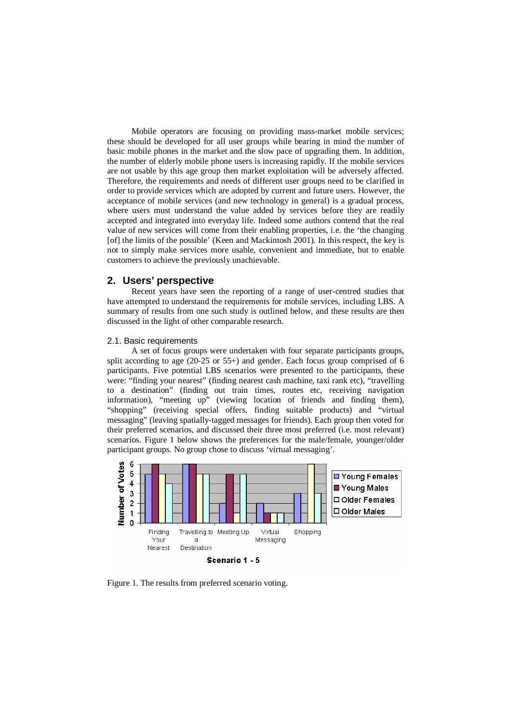Mobile operators are focusing on providing mass-market mobile services; these should be developed for all user groups while bearing in mind the number of basic mobile phones in the market and the slow pace of upgrading them. In addition, the number of elderly mobile phone users is increasing rapidly. If the mobile services are not usable by this age group then market exploitation will be adversely affected. Therefore, the requirements and needs of different user groups need to be clarified in order to provide services which are adopted by current and future users. However, the acceptance of mobile services (and new technology in general) is a gradual process, where users must understand the value added by services before they are readily accepted and integrated into everyday life. Indeed some authors contend that the real value of new services will come from their enabling properties, i.e. the 'the changing [of] the limits of the possible' (Keen and Mackintosh 2001). In this respect, the key is not to simply make services more usable, convenient and immediate, but to enable customers to achieve the previously unachievable.

# **2. Users' perspective**

Recent years have seen the reporting of a range of user-centred studies that have attempted to understand the requirements for mobile services, including LBS. A summary of results from one such study is outlined below, and these results are then discussed in the light of other comparable research.

### 2.1. Basic requirements

A set of focus groups were undertaken with four separate participants groups, split according to age (20-25 or 55+) and gender. Each focus group comprised of 6 participants. Five potential LBS scenarios were presented to the participants, these were: "finding your nearest" (finding nearest cash machine, taxi rank etc), "travelling to a destination" (finding out train times, routes etc, receiving navigation information), "meeting up" (viewing location of friends and finding them), "shopping" (receiving special offers, finding suitable products) and "virtual messaging" (leaving spatially-tagged messages for friends). Each group then voted for their preferred scenarios, and discussed their three most preferred (i.e. most relevant) scenarios. Figure 1 below shows the preferences for the male/female, younger/older participant groups. No group chose to discuss 'virtual messaging'.



Figure 1. The results from preferred scenario voting.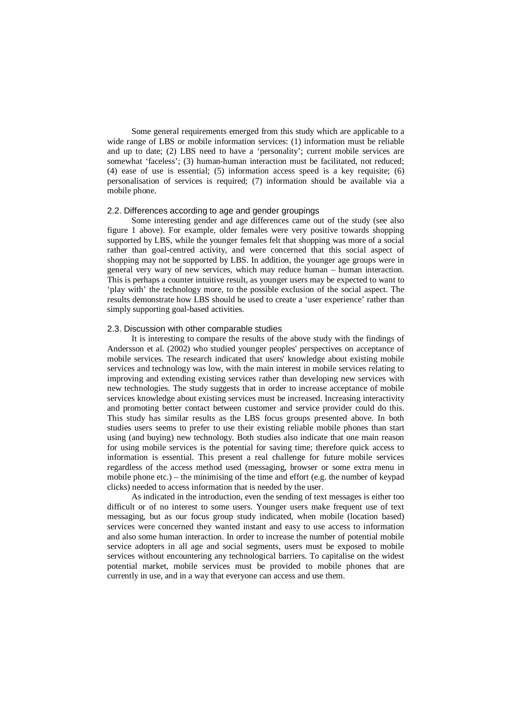Some general requirements emerged from this study which are applicable to a wide range of LBS or mobile information services: (1) information must be reliable and up to date; (2) LBS need to have a 'personality'; current mobile services are somewhat 'faceless'; (3) human-human interaction must be facilitated, not reduced; (4) ease of use is essential; (5) information access speed is a key requisite; (6) personalisation of services is required; (7) information should be available via a mobile phone.

# 2.2. Differences according to age and gender groupings

Some interesting gender and age differences came out of the study (see also figure 1 above). For example, older females were very positive towards shopping supported by LBS, while the younger females felt that shopping was more of a social rather than goal-centred activity, and were concerned that this social aspect of shopping may not be supported by LBS. In addition, the younger age groups were in general very wary of new services, which may reduce human – human interaction. This is perhaps a counter intuitive result, as younger users may be expected to want to 'play with' the technology more, to the possible exclusion of the social aspect. The results demonstrate how LBS should be used to create a 'user experience' rather than simply supporting goal-based activities.

#### 2.3. Discussion with other comparable studies

It is interesting to compare the results of the above study with the findings of Andersson et al. (2002) who studied younger peoples' perspectives on acceptance of mobile services. The research indicated that users' knowledge about existing mobile services and technology was low, with the main interest in mobile services relating to improving and extending existing services rather than developing new services with new technologies. The study suggests that in order to increase acceptance of mobile services knowledge about existing services must be increased. Increasing interactivity and promoting better contact between customer and service provider could do this. This study has similar results as the LBS focus groups presented above. In both studies users seems to prefer to use their existing reliable mobile phones than start using (and buying) new technology. Both studies also indicate that one main reason for using mobile services is the potential for saving time; therefore quick access to information is essential. This present a real challenge for future mobile services regardless of the access method used (messaging, browser or some extra menu in mobile phone etc.) – the minimising of the time and effort (e.g. the number of keypad clicks) needed to access information that is needed by the user.

As indicated in the introduction, even the sending of text messages is either too difficult or of no interest to some users. Younger users make frequent use of text messaging, but as our focus group study indicated, when mobile (location based) services were concerned they wanted instant and easy to use access to information and also some human interaction. In order to increase the number of potential mobile service adopters in all age and social segments, users must be exposed to mobile services without encountering any technological barriers. To capitalise on the widest potential market, mobile services must be provided to mobile phones that are currently in use, and in a way that everyone can access and use them.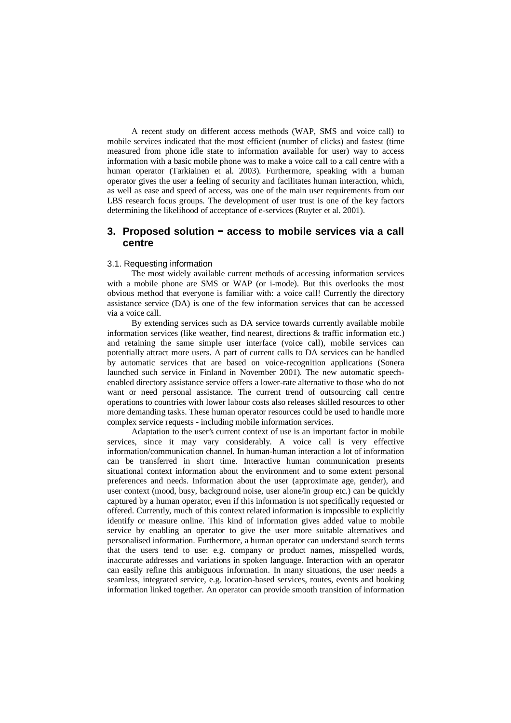A recent study on different access methods (WAP, SMS and voice call) to mobile services indicated that the most efficient (number of clicks) and fastest (time measured from phone idle state to information available for user) way to access information with a basic mobile phone was to make a voice call to a call centre with a human operator (Tarkiainen et al. 2003). Furthermore, speaking with a human operator gives the user a feeling of security and facilitates human interaction, which, as well as ease and speed of access, was one of the main user requirements from our LBS research focus groups. The development of user trust is one of the key factors determining the likelihood of acceptance of e-services (Ruyter et al. 2001).

# **3. Proposed solution - access to mobile services via a call centre**

#### 3.1. Requesting information

The most widely available current methods of accessing information services with a mobile phone are SMS or WAP (or i-mode). But this overlooks the most obvious method that everyone is familiar with: a voice call! Currently the directory assistance service (DA) is one of the few information services that can be accessed via a voice call.

By extending services such as DA service towards currently available mobile information services (like weather, find nearest, directions & traffic information etc.) and retaining the same simple user interface (voice call), mobile services can potentially attract more users. A part of current calls to DA services can be handled by automatic services that are based on voice-recognition applications (Sonera launched such service in Finland in November 2001). The new automatic speechenabled directory assistance service offers a lower-rate alternative to those who do not want or need personal assistance. The current trend of outsourcing call centre operations to countries with lower labour costs also releases skilled resources to other more demanding tasks. These human operator resources could be used to handle more complex service requests - including mobile information services.

Adaptation to the user's current context of use is an important factor in mobile services, since it may vary considerably. A voice call is very effective information/communication channel. In human-human interaction a lot of information can be transferred in short time. Interactive human communication presents situational context information about the environment and to some extent personal preferences and needs. Information about the user (approximate age, gender), and user context (mood, busy, background noise, user alone/in group etc.) can be quickly captured by a human operator, even if this information is not specifically requested or offered. Currently, much of this context related information is impossible to explicitly identify or measure online. This kind of information gives added value to mobile service by enabling an operator to give the user more suitable alternatives and personalised information. Furthermore, a human operator can understand search terms that the users tend to use: e.g. company or product names, misspelled words, inaccurate addresses and variations in spoken language. Interaction with an operator can easily refine this ambiguous information. In many situations, the user needs a seamless, integrated service, e.g. location-based services, routes, events and booking information linked together. An operator can provide smooth transition of information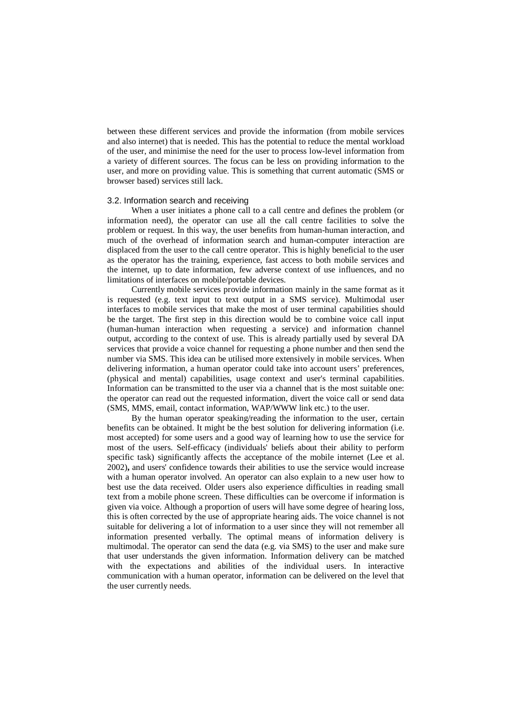between these different services and provide the information (from mobile services and also internet) that is needed. This has the potential to reduce the mental workload of the user, and minimise the need for the user to process low-level information from a variety of different sources. The focus can be less on providing information to the user, and more on providing value. This is something that current automatic (SMS or browser based) services still lack.

### 3.2. Information search and receiving

When a user initiates a phone call to a call centre and defines the problem (or information need), the operator can use all the call centre facilities to solve the problem or request. In this way, the user benefits from human-human interaction, and much of the overhead of information search and human-computer interaction are displaced from the user to the call centre operator. This is highly beneficial to the user as the operator has the training, experience, fast access to both mobile services and the internet, up to date information, few adverse context of use influences, and no limitations of interfaces on mobile/portable devices.

Currently mobile services provide information mainly in the same format as it is requested (e.g. text input to text output in a SMS service). Multimodal user interfaces to mobile services that make the most of user terminal capabilities should be the target. The first step in this direction would be to combine voice call input (human-human interaction when requesting a service) and information channel output, according to the context of use. This is already partially used by several DA services that provide a voice channel for requesting a phone number and then send the number via SMS. This idea can be utilised more extensively in mobile services. When delivering information, a human operator could take into account users' preferences, (physical and mental) capabilities, usage context and user's terminal capabilities. Information can be transmitted to the user via a channel that is the most suitable one: the operator can read out the requested information, divert the voice call or send data (SMS, MMS, email, contact information, WAP/WWW link etc.) to the user.

By the human operator speaking/reading the information to the user, certain benefits can be obtained. It might be the best solution for delivering information (i.e. most accepted) for some users and a good way of learning how to use the service for most of the users. Self-efficacy (individuals' beliefs about their ability to perform specific task) significantly affects the acceptance of the mobile internet (Lee et al. 2002)**,** and users' confidence towards their abilities to use the service would increase with a human operator involved. An operator can also explain to a new user how to best use the data received. Older users also experience difficulties in reading small text from a mobile phone screen. These difficulties can be overcome if information is given via voice. Although a proportion of users will have some degree of hearing loss, this is often corrected by the use of appropriate hearing aids. The voice channel is not suitable for delivering a lot of information to a user since they will not remember all information presented verbally. The optimal means of information delivery is multimodal. The operator can send the data (e.g. via SMS) to the user and make sure that user understands the given information. Information delivery can be matched with the expectations and abilities of the individual users. In interactive communication with a human operator, information can be delivered on the level that the user currently needs.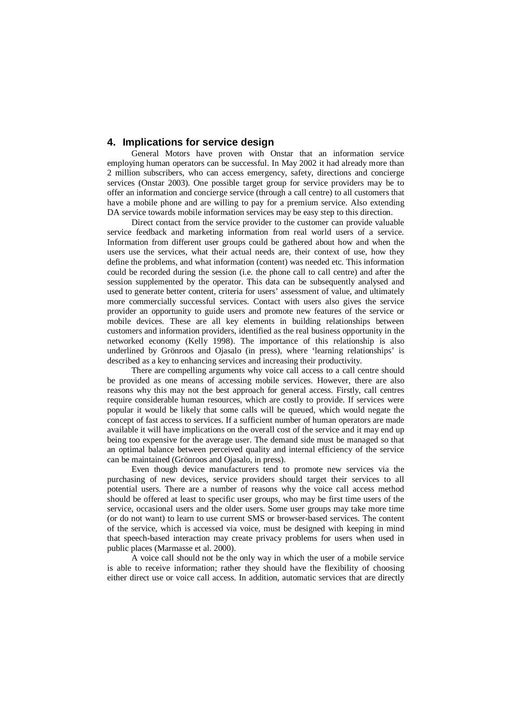# **4. Implications for service design**

General Motors have proven with Onstar that an information service employing human operators can be successful. In May 2002 it had already more than 2 million subscribers, who can access emergency, safety, directions and concierge services (Onstar 2003). One possible target group for service providers may be to offer an information and concierge service (through a call centre) to all customers that have a mobile phone and are willing to pay for a premium service. Also extending DA service towards mobile information services may be easy step to this direction.

Direct contact from the service provider to the customer can provide valuable service feedback and marketing information from real world users of a service. Information from different user groups could be gathered about how and when the users use the services, what their actual needs are, their context of use, how they define the problems, and what information (content) was needed etc. This information could be recorded during the session (i.e. the phone call to call centre) and after the session supplemented by the operator. This data can be subsequently analysed and used to generate better content, criteria for users' assessment of value, and ultimately more commercially successful services. Contact with users also gives the service provider an opportunity to guide users and promote new features of the service or mobile devices. These are all key elements in building relationships between customers and information providers, identified as the real business opportunity in the networked economy (Kelly 1998). The importance of this relationship is also underlined by Grönroos and Ojasalo (in press), where 'learning relationships' is described as a key to enhancing services and increasing their productivity.

There are compelling arguments why voice call access to a call centre should be provided as one means of accessing mobile services. However, there are also reasons why this may not the best approach for general access. Firstly, call centres require considerable human resources, which are costly to provide. If services were popular it would be likely that some calls will be queued, which would negate the concept of fast access to services. If a sufficient number of human operators are made available it will have implications on the overall cost of the service and it may end up being too expensive for the average user. The demand side must be managed so that an optimal balance between perceived quality and internal efficiency of the service can be maintained (Grönroos and Ojasalo, in press).

Even though device manufacturers tend to promote new services via the purchasing of new devices, service providers should target their services to all potential users. There are a number of reasons why the voice call access method should be offered at least to specific user groups, who may be first time users of the service, occasional users and the older users. Some user groups may take more time (or do not want) to learn to use current SMS or browser-based services. The content of the service, which is accessed via voice, must be designed with keeping in mind that speech-based interaction may create privacy problems for users when used in public places (Marmasse et al. 2000).

A voice call should not be the only way in which the user of a mobile service is able to receive information; rather they should have the flexibility of choosing either direct use or voice call access. In addition, automatic services that are directly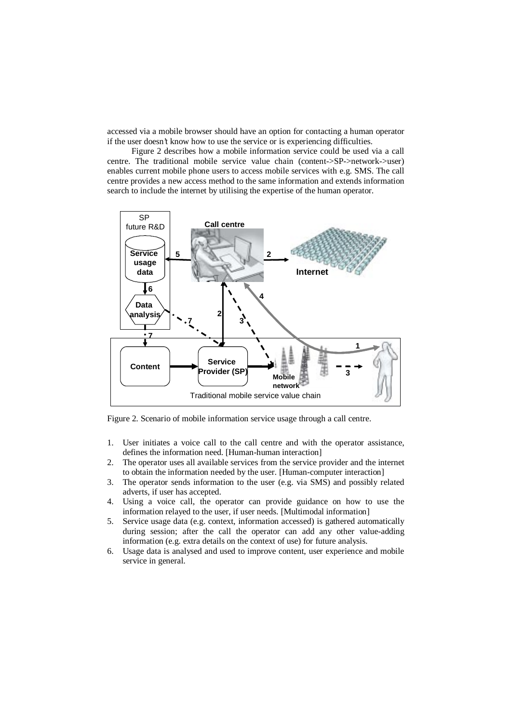accessed via a mobile browser should have an option for contacting a human operator if the user doesn't know how to use the service or is experiencing difficulties.

Figure 2 describes how a mobile information service could be used via a call centre. The traditional mobile service value chain (content->SP->network->user) enables current mobile phone users to access mobile services with e.g. SMS. The call centre provides a new access method to the same information and extends information search to include the internet by utilising the expertise of the human operator.



Figure 2. Scenario of mobile information service usage through a call centre.

- 1. User initiates a voice call to the call centre and with the operator assistance, defines the information need. [Human-human interaction]
- 2. The operator uses all available services from the service provider and the internet to obtain the information needed by the user. [Human-computer interaction]
- 3. The operator sends information to the user (e.g. via SMS) and possibly related adverts, if user has accepted.
- 4. Using a voice call, the operator can provide guidance on how to use the information relayed to the user, if user needs. [Multimodal information]
- 5. Service usage data (e.g. context, information accessed) is gathered automatically during session; after the call the operator can add any other value-adding information (e.g. extra details on the context of use) for future analysis.
- 6. Usage data is analysed and used to improve content, user experience and mobile service in general.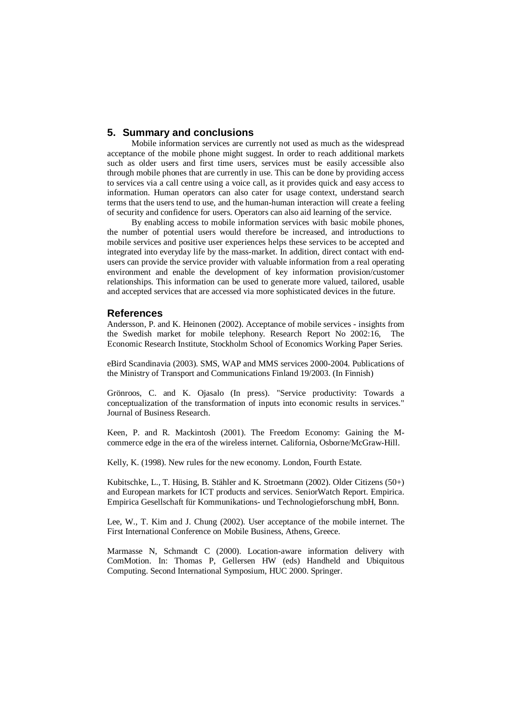## **5. Summary and conclusions**

Mobile information services are currently not used as much as the widespread acceptance of the mobile phone might suggest. In order to reach additional markets such as older users and first time users, services must be easily accessible also through mobile phones that are currently in use. This can be done by providing access to services via a call centre using a voice call, as it provides quick and easy access to information. Human operators can also cater for usage context, understand search terms that the users tend to use, and the human-human interaction will create a feeling of security and confidence for users. Operators can also aid learning of the service.

By enabling access to mobile information services with basic mobile phones, the number of potential users would therefore be increased, and introductions to mobile services and positive user experiences helps these services to be accepted and integrated into everyday life by the mass-market. In addition, direct contact with endusers can provide the service provider with valuable information from a real operating environment and enable the development of key information provision/customer relationships. This information can be used to generate more valued, tailored, usable and accepted services that are accessed via more sophisticated devices in the future.

### **References**

Andersson, P. and K. Heinonen (2002). Acceptance of mobile services - insights from the Swedish market for mobile telephony. Research Report No 2002:16, The Economic Research Institute, Stockholm School of Economics Working Paper Series.

eBird Scandinavia (2003). SMS, WAP and MMS services 2000-2004. Publications of the Ministry of Transport and Communications Finland 19/2003. (In Finnish)

Grönroos, C. and K. Ojasalo (In press). "Service productivity: Towards a conceptualization of the transformation of inputs into economic results in services." Journal of Business Research.

Keen, P. and R. Mackintosh (2001). The Freedom Economy: Gaining the Mcommerce edge in the era of the wireless internet. California, Osborne/McGraw-Hill.

Kelly, K. (1998). New rules for the new economy. London, Fourth Estate.

Kubitschke, L., T. Hüsing, B. Stähler and K. Stroetmann (2002). Older Citizens (50+) and European markets for ICT products and services. SeniorWatch Report. Empirica. Empirica Gesellschaft für Kommunikations- und Technologieforschung mbH, Bonn.

Lee, W., T. Kim and J. Chung (2002). User acceptance of the mobile internet. The First International Conference on Mobile Business, Athens, Greece.

Marmasse N, Schmandt C (2000). Location-aware information delivery with ComMotion. In: Thomas P, Gellersen HW (eds) Handheld and Ubiquitous Computing. Second International Symposium, HUC 2000. Springer.